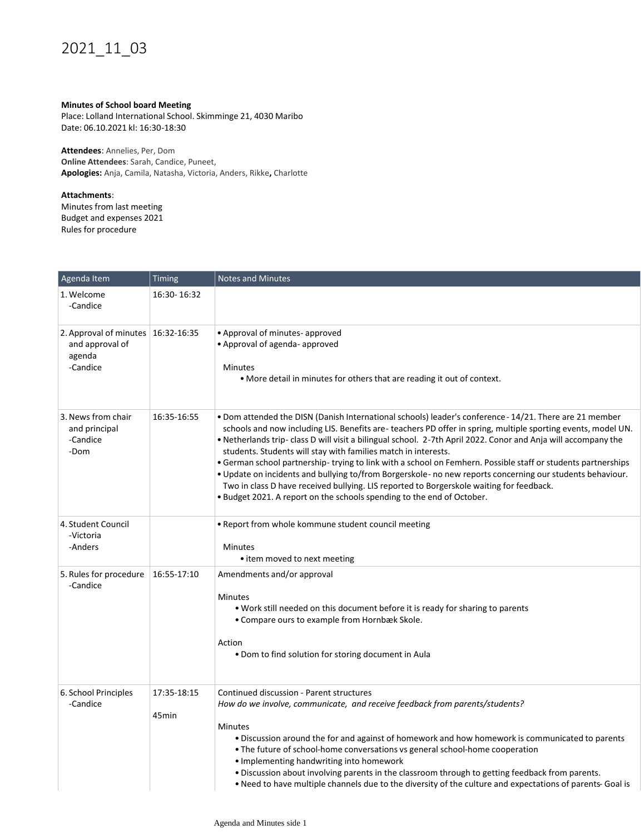## 2021\_11\_03

## **Minutes of School board Meeting**

Place: Lolland International School. Skimminge 21, 4030 Maribo Date: 06.10.2021 kl: 16:30-18:30

**Attendees**: Annelies, Per, Dom **Online Attendees**: Sarah, Candice, Puneet, **Apologies:** Anja, Camila, Natasha, Victoria, Anders, Rikke**,** Charlotte

## **Attachments**:

Minutes from last meeting Budget and expenses 2021 Rules for procedure

| Agenda Item                                                                 | Timing                           | <b>Notes and Minutes</b>                                                                                                                                                                                                                                                                                                                                                                                                                                                                                                                                                                                                                                                                                                                                                                                       |
|-----------------------------------------------------------------------------|----------------------------------|----------------------------------------------------------------------------------------------------------------------------------------------------------------------------------------------------------------------------------------------------------------------------------------------------------------------------------------------------------------------------------------------------------------------------------------------------------------------------------------------------------------------------------------------------------------------------------------------------------------------------------------------------------------------------------------------------------------------------------------------------------------------------------------------------------------|
| 1. Welcome<br>-Candice                                                      | 16:30-16:32                      |                                                                                                                                                                                                                                                                                                                                                                                                                                                                                                                                                                                                                                                                                                                                                                                                                |
| 2. Approval of minutes 16:32-16:35<br>and approval of<br>agenda<br>-Candice |                                  | • Approval of minutes- approved<br>• Approval of agenda- approved<br><b>Minutes</b><br>• More detail in minutes for others that are reading it out of context.                                                                                                                                                                                                                                                                                                                                                                                                                                                                                                                                                                                                                                                 |
| 3. News from chair<br>and principal<br>-Candice<br>-Dom                     | 16:35-16:55                      | • Dom attended the DISN (Danish International schools) leader's conference - 14/21. There are 21 member<br>schools and now including LIS. Benefits are-teachers PD offer in spring, multiple sporting events, model UN.<br>. Netherlands trip- class D will visit a bilingual school. 2-7th April 2022. Conor and Anja will accompany the<br>students. Students will stay with families match in interests.<br>• German school partnership-trying to link with a school on Femhern. Possible staff or students partnerships<br>. Update on incidents and bullying to/from Borgerskole- no new reports concerning our students behaviour.<br>Two in class D have received bullying. LIS reported to Borgerskole waiting for feedback.<br>• Budget 2021. A report on the schools spending to the end of October. |
| 4. Student Council<br>-Victoria<br>-Anders                                  |                                  | . Report from whole kommune student council meeting<br><b>Minutes</b><br>• item moved to next meeting                                                                                                                                                                                                                                                                                                                                                                                                                                                                                                                                                                                                                                                                                                          |
| 5. Rules for procedure<br>-Candice                                          | 16:55-17:10                      | Amendments and/or approval<br><b>Minutes</b><br>. Work still needed on this document before it is ready for sharing to parents<br>• Compare ours to example from Hornbæk Skole.<br>Action<br>• Dom to find solution for storing document in Aula                                                                                                                                                                                                                                                                                                                                                                                                                                                                                                                                                               |
| 6. School Principles<br>-Candice                                            | 17:35-18:15<br>45 <sub>min</sub> | Continued discussion - Parent structures<br>How do we involve, communicate, and receive feedback from parents/students?<br><b>Minutes</b><br>. Discussion around the for and against of homework and how homework is communicated to parents<br>. The future of school-home conversations vs general school-home cooperation<br>• Implementing handwriting into homework<br>. Discussion about involving parents in the classroom through to getting feedback from parents.<br>• Need to have multiple channels due to the diversity of the culture and expectations of parents- Goal is                                                                                                                                                                                                                       |